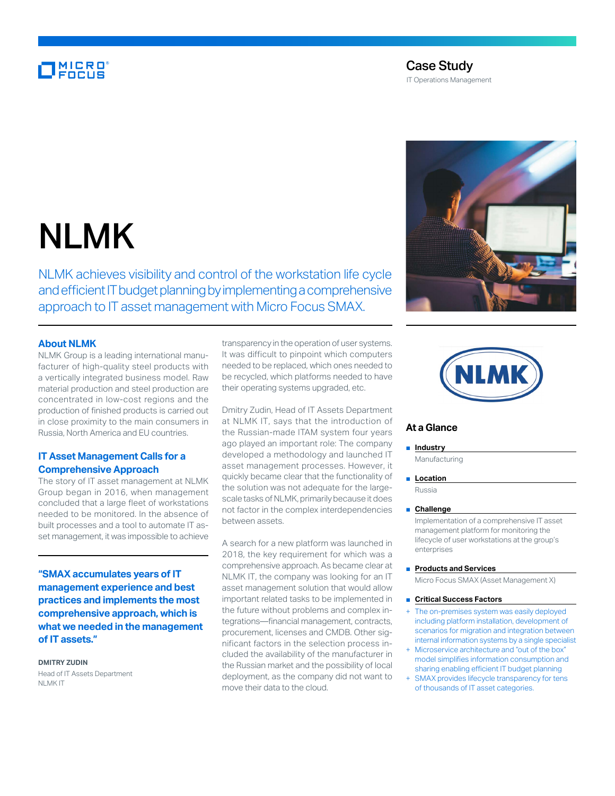# **MICRO**<br>FOCUS

# Case Study

IT Operations Management

# NLMK

NLMK achieves visibility and control of the workstation life cycle and efficient IT budget planning by implementing a comprehensive approach to IT asset management with Micro Focus SMAX.

#### **About NLMK**

NLMK Group is a leading international manufacturer of high-quality steel products with a vertically integrated business model. Raw material production and steel production are concentrated in low-cost regions and the production of finished products is carried out in close proximity to the main consumers in Russia, North America and EU countries.

# **IT Asset Management Calls for a Comprehensive Approach**

The story of IT asset management at NLMK Group began in 2016, when management concluded that a large fleet of workstations needed to be monitored. In the absence of built processes and a tool to automate IT asset management, it was impossible to achieve

**"SMAX accumulates years of IT management experience and best practices and implements the most comprehensive approach, which is what we needed in the management of IT assets."**

**DMITRY ZUDIN** Head of IT Assets Department NLMK IT

transparency in the operation of user systems. It was difficult to pinpoint which computers needed to be replaced, which ones needed to be recycled, which platforms needed to have their operating systems upgraded, etc.

Dmitry Zudin, Head of IT Assets Department at NLMK IT, says that the introduction of the Russian-made ITAM system four years ago played an important role: The company developed a methodology and launched IT asset management processes. However, it quickly became clear that the functionality of the solution was not adequate for the largescale tasks of NLMK, primarily because it does not factor in the complex interdependencies between assets.

A search for a new platform was launched in 2018, the key requirement for which was a comprehensive approach. As became clear at NLMK IT, the company was looking for an IT asset management solution that would allow important related tasks to be implemented in the future without problems and complex integrations—financial management, contracts, procurement, licenses and CMDB. Other significant factors in the selection process included the availability of the manufacturer in the Russian market and the possibility of local deployment, as the company did not want to move their data to the cloud.





## **At a Glance**

#### ■ **Industry**

Manufacturing

#### ■ **Location**

Russia

#### ■ **Challenge**

Implementation of a comprehensive IT asset management platform for monitoring the lifecycle of user workstations at the group's enterprises

■ **Products and Services** 

Micro Focus SMAX (Asset Management X)

- **Critical Success Factors**
- The on-premises system was easily deployed including platform installation, development of scenarios for migration and integration between internal information systems by a single specialist
- Microservice architecture and "out of the box" model simplifies information consumption and sharing enabling efficient IT budget planning
- SMAX provides lifecycle transparency for tens of thousands of IT asset categories.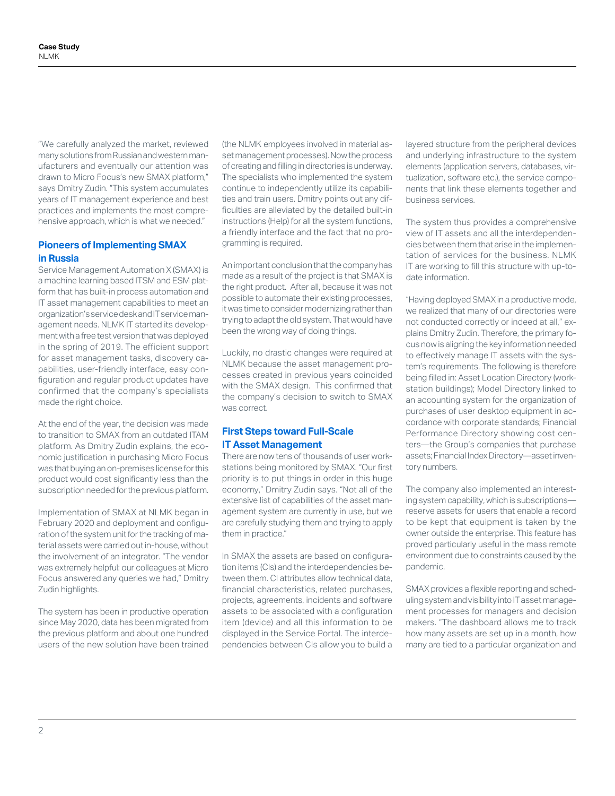"We carefully analyzed the market, reviewed many solutions from Russian and western manufacturers and eventually our attention was drawn to Micro Focus's new SMAX platform," says Dmitry Zudin. "This system accumulates years of IT management experience and best practices and implements the most comprehensive approach, which is what we needed."

## **Pioneers of Implementing SMAX in Russia**

Service Management Automation X (SMAX) is a machine learning based ITSM and ESM platform that has built-in process automation and IT asset management capabilities to meet an organization's service desk and IT service management needs. NLMK IT started its development with a free test version that was deployed in the spring of 2019. The efficient support for asset management tasks, discovery capabilities, user-friendly interface, easy configuration and regular product updates have confirmed that the company's specialists made the right choice.

At the end of the year, the decision was made to transition to SMAX from an outdated ITAM platform. As Dmitry Zudin explains, the economic justification in purchasing Micro Focus was that buying an on-premises license for this product would cost significantly less than the subscription needed for the previous platform.

Implementation of SMAX at NLMK began in February 2020 and deployment and configuration of the system unit for the tracking of material assets were carried out in-house, without the involvement of an integrator. "The vendor was extremely helpful: our colleagues at Micro Focus answered any queries we had," Dmitry Zudin highlights.

The system has been in productive operation since May 2020, data has been migrated from the previous platform and about one hundred users of the new solution have been trained

(the NLMK employees involved in material asset management processes). Now the process of creating and filling in directories is underway. The specialists who implemented the system continue to independently utilize its capabilities and train users. Dmitry points out any difficulties are alleviated by the detailed built-in instructions (Help) for all the system functions, a friendly interface and the fact that no programming is required.

An important conclusion that the company has made as a result of the project is that SMAX is the right product. After all, because it was not possible to automate their existing processes, it was time to consider modernizing rather than trying to adapt the old system. That would have been the wrong way of doing things.

Luckily, no drastic changes were required at NLMK because the asset management processes created in previous years coincided with the SMAX design. This confirmed that the company's decision to switch to SMAX was correct.

# **First Steps toward Full-Scale IT Asset Management**

There are now tens of thousands of user workstations being monitored by SMAX. "Our first priority is to put things in order in this huge economy," Dmitry Zudin says. "Not all of the extensive list of capabilities of the asset management system are currently in use, but we are carefully studying them and trying to apply them in practice."

In SMAX the assets are based on configuration items (CIs) and the interdependencies between them. CI attributes allow technical data, financial characteristics, related purchases, projects, agreements, incidents and software assets to be associated with a configuration item (device) and all this information to be displayed in the Service Portal. The interdependencies between CIs allow you to build a

layered structure from the peripheral devices and underlying infrastructure to the system elements (application servers, databases, virtualization, software etc.), the service components that link these elements together and business services.

The system thus provides a comprehensive view of IT assets and all the interdependencies between them that arise in the implementation of services for the business. NLMK IT are working to fill this structure with up-todate information.

"Having deployed SMAX in a productive mode, we realized that many of our directories were not conducted correctly or indeed at all," explains Dmitry Zudin. Therefore, the primary focus now is aligning the key information needed to effectively manage IT assets with the system's requirements. The following is therefore being filled in: Asset Location Directory (workstation buildings); Model Directory linked to an accounting system for the organization of purchases of user desktop equipment in accordance with corporate standards; Financial Performance Directory showing cost centers—the Group's companies that purchase assets; Financial Index Directory—asset inventory numbers.

The company also implemented an interesting system capability, which is subscriptions reserve assets for users that enable a record to be kept that equipment is taken by the owner outside the enterprise. This feature has proved particularly useful in the mass remote environment due to constraints caused by the pandemic.

SMAX provides a flexible reporting and scheduling system and visibility into IT asset management processes for managers and decision makers. "The dashboard allows me to track how many assets are set up in a month, how many are tied to a particular organization and